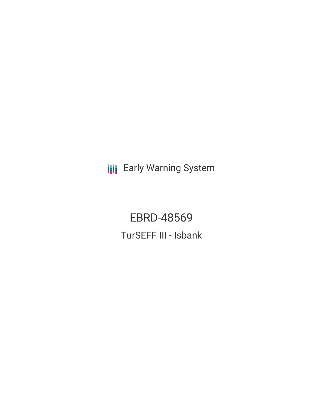**III** Early Warning System

EBRD-48569 TurSEFF III - Isbank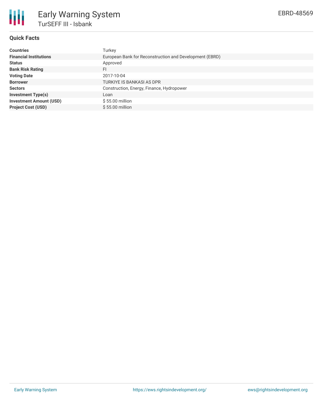

## **Quick Facts**

| <b>Countries</b>               | Turkey                                                  |
|--------------------------------|---------------------------------------------------------|
| <b>Financial Institutions</b>  | European Bank for Reconstruction and Development (EBRD) |
| <b>Status</b>                  | Approved                                                |
| <b>Bank Risk Rating</b>        | FI                                                      |
| <b>Voting Date</b>             | 2017-10-04                                              |
| <b>Borrower</b>                | <b>TURKIYE IS BANKASI AS DPR</b>                        |
| <b>Sectors</b>                 | Construction, Energy, Finance, Hydropower               |
| <b>Investment Type(s)</b>      | Loan                                                    |
| <b>Investment Amount (USD)</b> | $$55.00$ million                                        |
| <b>Project Cost (USD)</b>      | $$55.00$ million                                        |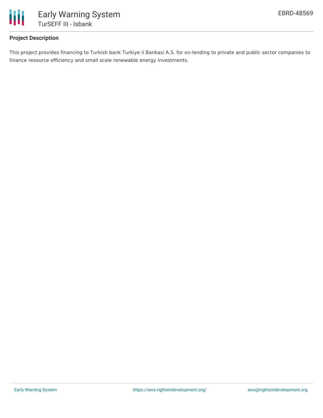

# **Project Description**

This project provides financing to Turkish bank Turkiye ii Bankasi A.S. for on-lending to private and public sector companies to finance resource efficiency and small scale renewable energy investments.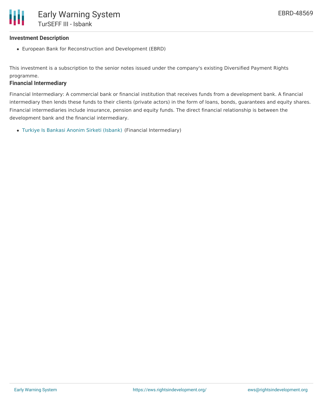### **Investment Description**

European Bank for Reconstruction and Development (EBRD)

This investment is a subscription to the senior notes issued under the company's existing Diversified Payment Rights programme.

### **Financial Intermediary**

Financial Intermediary: A commercial bank or financial institution that receives funds from a development bank. A financial intermediary then lends these funds to their clients (private actors) in the form of loans, bonds, guarantees and equity shares. Financial intermediaries include insurance, pension and equity funds. The direct financial relationship is between the development bank and the financial intermediary.

Turkiye Is Bankasi Anonim Sirketi [\(Isbank\)](file:///actor/174/) (Financial Intermediary)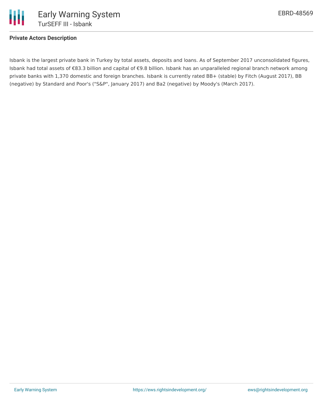

## **Private Actors Description**

Isbank is the largest private bank in Turkey by total assets, deposits and loans. As of September 2017 unconsolidated figures, Isbank had total assets of €83.3 billion and capital of €9.8 billion. Isbank has an unparalleled regional branch network among private banks with 1,370 domestic and foreign branches. Isbank is currently rated BB+ (stable) by Fitch (August 2017), BB (negative) by Standard and Poor's ("S&P", January 2017) and Ba2 (negative) by Moody's (March 2017).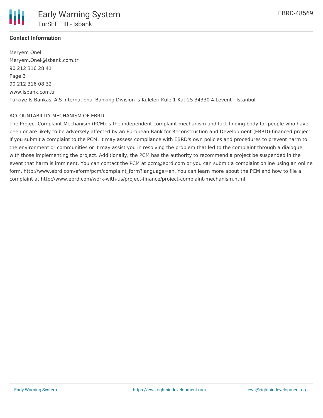

## **Contact Information**

Meryem Onel Meryem.Onel@isbank.com.tr 90 212 316 28 41 Page 3 90 212 316 08 32 www.isbank.com.tr Türkiye Is Bankasi A.S International Banking Division Is Kuleleri Kule:1 Kat:25 34330 4.Levent - Istanbul

#### ACCOUNTABILITY MECHANISM OF EBRD

The Project Complaint Mechanism (PCM) is the independent complaint mechanism and fact-finding body for people who have been or are likely to be adversely affected by an European Bank for Reconstruction and Development (EBRD)-financed project. If you submit a complaint to the PCM, it may assess compliance with EBRD's own policies and procedures to prevent harm to the environment or communities or it may assist you in resolving the problem that led to the complaint through a dialogue with those implementing the project. Additionally, the PCM has the authority to recommend a project be suspended in the event that harm is imminent. You can contact the PCM at pcm@ebrd.com or you can submit a complaint online using an online form, http://www.ebrd.com/eform/pcm/complaint\_form?language=en. You can learn more about the PCM and how to file a complaint at http://www.ebrd.com/work-with-us/project-finance/project-complaint-mechanism.html.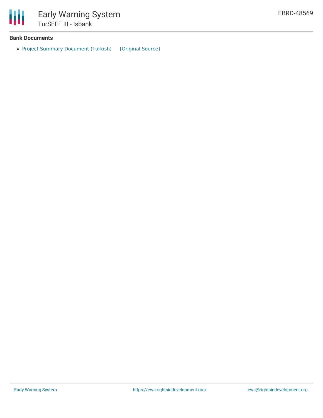

## **Bank Documents**

• Project Summary [Document](https://ewsdata.rightsindevelopment.org/files/documents/69/EBRD-48569.pdf) (Turkish) [\[Original](http://www.ebrd.com/cs/Satellite?c=Content&cid=1395269340336&d=&pagename=EBRD%2FContent%2FDownloadDocument) Source]